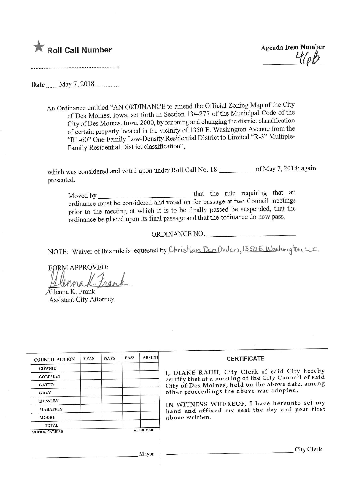

**Agenda Item Number**  $46b$ 

 $\mathbf{M}$   $\mathbf{B}$   $\mathbf{M}$   $\mathbf{A}$   $\mathbf{M}$   $\mathbf{A}$   $\mathbf{M}$   $\mathbf{D}$   $\mathbf{M}$   $\mathbf{D}$   $\mathbf{M}$   $\mathbf{D}$   $\mathbf{M}$ 

An Ordinance entitled "AN ORDINANCE to amend the Official Zoning Map of the City of Des Moines, Iowa, set forth in Section 134-277 of the Municipal Code of the City of Des Moines, Iowa, 2000, by rezoning and changing the district classification of certain property located in the vicinity of 1350 E. Washington Avenue from the certain property located in the vicinity of  $1$  District to  $\overline{1}$  imited " $P$ . 2" Multiple- $R_1$ -60" One-Family Low-Density Residential District to  $L_3$ Family Residential District classification",

which was considered and voted upon under Roll Call No. 18- of May 7,2018; again presented.

Moved by that the rule requiring that an prior to the meeting at which it is to be finally passed be suspended, that the pror to the meeting at which it is to be finally passed be subsequenced, that the ordinance do now passed ordinance be placed upon its final passage and that the ordinance do now pass.

ORDINANCE NO.

NOTE: Waiver of this rule is requested by Christian Den Ouden, 1350 E. Washing ton, LLC.

FORM APPROVED: tran /Glerma K. Franlc

Assistant City Attorney

| <b>COUNCIL ACTION</b> | <b>YEAS</b> | <b>NAYS</b> | <b>PASS</b> | <b>ABSENT</b>   | <b>CERTIFICATE</b>                                                                                                                                                                                                                                                                                                         |
|-----------------------|-------------|-------------|-------------|-----------------|----------------------------------------------------------------------------------------------------------------------------------------------------------------------------------------------------------------------------------------------------------------------------------------------------------------------------|
| <b>COWNIE</b>         |             |             |             |                 |                                                                                                                                                                                                                                                                                                                            |
| <b>COLEMAN</b>        |             |             |             |                 | I, DIANE RAUH, City Clerk of said City hereby<br>certify that at a meeting of the City Council of said<br>City of Des Moines, held on the above date, among<br>other proceedings the above was adopted.<br>IN WITNESS WHEREOF, I have hereunto set my<br>hand and affixed my seal the day and year first<br>above written. |
| <b>GATTO</b>          |             |             |             |                 |                                                                                                                                                                                                                                                                                                                            |
| <b>GRAY</b>           |             |             |             |                 |                                                                                                                                                                                                                                                                                                                            |
| <b>HENSLEY</b>        |             |             |             |                 |                                                                                                                                                                                                                                                                                                                            |
| <b>MAHAFFEY</b>       |             |             |             |                 |                                                                                                                                                                                                                                                                                                                            |
| <b>MOORE</b>          |             |             |             |                 |                                                                                                                                                                                                                                                                                                                            |
| <b>TOTAL</b>          |             |             |             |                 |                                                                                                                                                                                                                                                                                                                            |
| <b>MOTION CARRIED</b> |             |             |             | <b>APPROVED</b> |                                                                                                                                                                                                                                                                                                                            |
|                       |             |             |             | Mayor           | <b>City Clerk</b>                                                                                                                                                                                                                                                                                                          |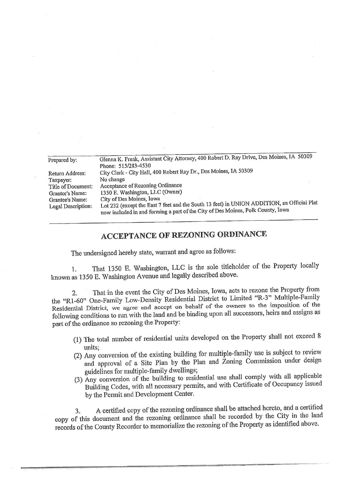| Prepared by:       | Glenna K. Frank, Assistant City Attorney, 400 Robert D. Ray Drive, Des Moines, IA 50309                                                                                       |  |  |  |  |  |
|--------------------|-------------------------------------------------------------------------------------------------------------------------------------------------------------------------------|--|--|--|--|--|
|                    | Phone: 515/283-4530                                                                                                                                                           |  |  |  |  |  |
| Return Address:    | City Clerk - City Hall, 400 Robert Ray Dr., Des Moines, IA 50309                                                                                                              |  |  |  |  |  |
| Taxpayer:          | No change                                                                                                                                                                     |  |  |  |  |  |
| Title of Document: | Acceptance of Rezoning Ordinance                                                                                                                                              |  |  |  |  |  |
| Grantor's Name:    | 1350 E. Washington, LLC (Owner)                                                                                                                                               |  |  |  |  |  |
| Grantee's Name:    | City of Des Moines, Iowa                                                                                                                                                      |  |  |  |  |  |
| Legal Description: | Lot 232 (except the East 7 feet and the South 13 feet) in UNION ADDITION, an Official Plat<br>now included in and forming a part of the City of Des Moines, Polk County, Iowa |  |  |  |  |  |

## ACCEPTANCE OF REZONING ORDINANCE

The undersigned hereby state, warrant and agree as follows:

That 1350 E. Washington, LLC is the sole titleholder of the Property locally known as 1350 E. Washington Avenue and legally described above.

2. That in the event the City of Des Moines, Iowa, acts to rezone the Property from<br>the "R1-60" One-Family Low-Density Residential District to Limited "R-3" Multiple-Family Residential District, we agree and accept on behalf of the owners to the imposition of the Residential District, we agree and accept on behalf of the owners heims and assigns as following conditions to run with the land and be binding upon all successors, hen's and assigns as part of the ordinance so rezoning the Property:

- (1) The total number of residential units developed on the Property shall not exceed 8
- (2) Any conversion of the existing building for multiple-family use is subject to review 2) Any conversion of the existing building for multiple-family use is subject to review the review of the review and approval of a Site Plan by the Plan and  $\Delta$ oning  $\sim$  commission under design under design under design under design under design under des in  $\sim$ guidelines for multiple-family dwellings;<br>(3) Any conversion of the building to residential use shall comply with all applicable
- $(3)$  Any conversion of the building to residential use  $\frac{1}{2}$  and  $\frac{1}{2}$  and  $\frac{1}{2}$  applicable  $\frac{1}{2}$  applicable  $\frac{1}{2}$  applicable  $\frac{1}{2}$  applicable  $\frac{1}{2}$  applicable  $\frac{1}{2}$  applicable  $\frac{1}{2}$  a  $B$ uilding Codes, with all necessary permits, and with Certificate of  $\sim$ by the Permit and Development Center,

3. A certified copy of the rezoning ordinance shall be attached hereto, and a certified copy of this document and the rezoning ordinance shall be recorded by the City in the land copy of this document and the rezoning ordinance shall be recorded to relatified shows records of the County Recorder to memoriallze the rezoning of the Property as identified above.